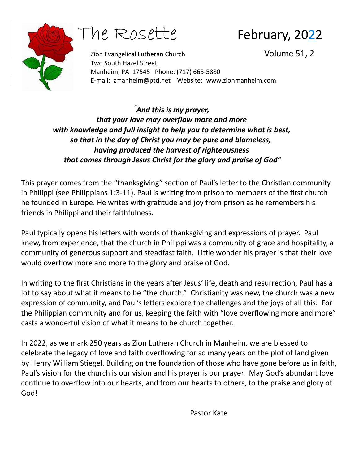

he Rosette February, 2022

Zion Evangelical Lutheran Church Volume 51, 2 Two South Hazel Street Manheim, PA 17545 Phone: (717) 665-5880 E-mail: [zmanheim@ptd.net](mailto:zmanheim@ptd.net) Website: [www.zionmanheim.com](http://www.zionmanheim.com/)

*"And this is my prayer, that your love may overflow more and more with knowledge and full insight to help you to determine what is best, so that in the day of Christ you may be pure and blameless, having produced the harvest of righteousness that comes through Jesus Christ for the glory and praise of God"*

This prayer comes from the "thanksgiving" section of Paul's letter to the Christian community in Philippi (see Philippians 1:3-11). Paul is writing from prison to members of the first church he founded in Europe. He writes with gratitude and joy from prison as he remembers his friends in Philippi and their faithfulness.

Paul typically opens his letters with words of thanksgiving and expressions of prayer. Paul knew, from experience, that the church in Philippi was a community of grace and hospitality, a community of generous support and steadfast faith. Little wonder his prayer is that their love would overflow more and more to the glory and praise of God.

In writing to the first Christians in the years after Jesus' life, death and resurrection, Paul has a lot to say about what it means to be "the church." Christianity was new, the church was a new expression of community, and Paul's letters explore the challenges and the joys of all this. For the Philippian community and for us, keeping the faith with "love overflowing more and more" casts a wonderful vision of what it means to be church together.

In 2022, as we mark 250 years as Zion Lutheran Church in Manheim, we are blessed to celebrate the legacy of love and faith overflowing for so many years on the plot of land given by Henry William Stiegel. Building on the foundation of those who have gone before us in faith, Paul's vision for the church is our vision and his prayer is our prayer. May God's abundant love continue to overflow into our hearts, and from our hearts to others, to the praise and glory of God!

Pastor Kate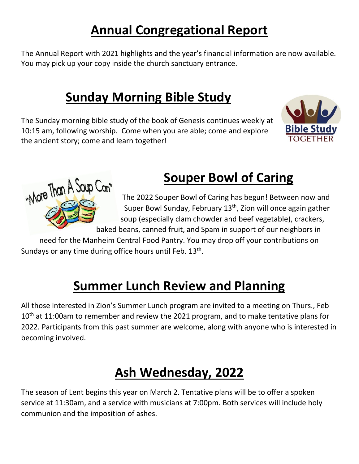### **Annual Congregational Report**

The Annual Report with 2021 highlights and the year's financial information are now available. You may pick up your copy inside the church sanctuary entrance.

## **Sunday Morning Bible Study**

The Sunday morning bible study of the book of Genesis continues weekly at 10:15 am, following worship. Come when you are able; come and explore the ancient story; come and learn together!

"More Than A Soup Can"



#### **Souper Bowl of Caring**

The 2022 Souper Bowl of Caring has begun! Between now and Super Bowl Sunday, February 13<sup>th</sup>, Zion will once again gather soup (especially clam chowder and beef vegetable), crackers,

baked beans, canned fruit, and Spam in support of our neighbors in

need for the Manheim Central Food Pantry. You may drop off your contributions on Sundays or any time during office hours until Feb. 13<sup>th</sup>.

### **Summer Lunch Review and Planning**

All those interested in Zion's Summer Lunch program are invited to a meeting on Thurs., Feb 10<sup>th</sup> at 11:00am to remember and review the 2021 program, and to make tentative plans for 2022. Participants from this past summer are welcome, along with anyone who is interested in becoming involved.

## **Ash Wednesday, 2022**

The season of Lent begins this year on March 2. Tentative plans will be to offer a spoken service at 11:30am, and a service with musicians at 7:00pm. Both services will include holy communion and the imposition of ashes.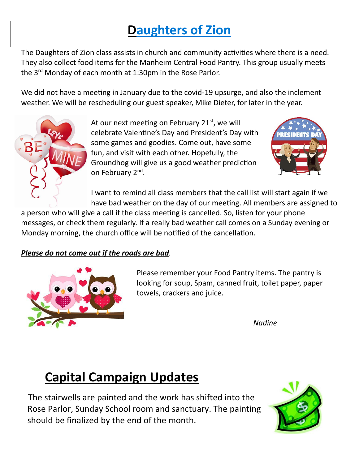### **Daughters of Zion**

The Daughters of Zion class assists in church and community activities where there is a need. They also collect food items for the Manheim Central Food Pantry. This group usually meets the 3rd Monday of each month at 1:30pm in the Rose Parlor.

We did not have a meeting in January due to the covid-19 upsurge, and also the inclement weather. We will be rescheduling our guest speaker, Mike Dieter, for later in the year.



At our next meeting on February 21 $st$ , we will celebrate Valentine's Day and President's Day with some games and goodies. Come out, have some fun, and visit with each other. Hopefully, the Groundhog will give us a good weather prediction on February 2<sup>nd</sup>.



I want to remind all class members that the call list will start again if we have bad weather on the day of our meeting. All members are assigned to

a person who will give a call if the class meeting is cancelled. So, listen for your phone messages, or check them regularly. If a really bad weather call comes on a Sunday evening or Monday morning, the church office will be notified of the cancellation.

#### *Please do not come out if the roads are bad.*



Please remember your Food Pantry items. The pantry is looking for soup, Spam, canned fruit, toilet paper, paper towels, crackers and juice.

*Nadine*

# **Capital Campaign Updates**

 The stairwells are painted and the work has shifted into the Rose Parlor, Sunday School room and sanctuary. The painting should be finalized by the end of the month.

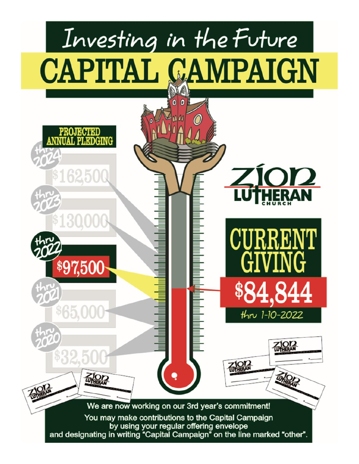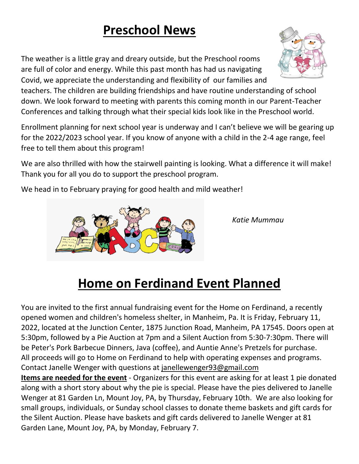## **Preschool News**

The weather is a little gray and dreary outside, but the Preschool rooms are full of color and energy. While this past month has had us navigating Covid, we appreciate the understanding and flexibility of our families and

teachers. The children are building friendships and have routine understanding of school down. We look forward to meeting with parents this coming month in our Parent-Teacher Conferences and talking through what their special kids look like in the Preschool world.

Enrollment planning for next school year is underway and I can't believe we will be gearing up for the 2022/2023 school year. If you know of anyone with a child in the 2-4 age range, feel free to tell them about this program!

We are also thrilled with how the stairwell painting is looking. What a difference it will make! Thank you for all you do to support the preschool program.

We head in to February praying for good health and mild weather!



You are invited to the first annual fundraising event for the Home on Ferdinand, a recently opened women and children's homeless shelter, in Manheim, Pa. It is Friday, February 11, 2022, located at the Junction Center, 1875 Junction Road, Manheim, PA 17545. Doors open at 5:30pm, followed by a Pie Auction at 7pm and a Silent Auction from 5:30-7:30pm. There will be Peter's Pork Barbecue Dinners, Java (coffee), and Auntie Anne's Pretzels for purchase. All proceeds will go to Home on Ferdinand to help with operating expenses and programs. Contact Janelle Wenger with questions at [janellewenger93@gmail.com](mailto:janellewenger93@gmail.com)

**Items are needed for the event** - Organizers for this event are asking for at least 1 pie donated along with a short story about why the pie is special. Please have the pies delivered to Janelle Wenger at 81 Garden Ln, Mount Joy, PA, by Thursday, February 10th. We are also looking for small groups, individuals, or Sunday school classes to donate theme baskets and gift cards for the Silent Auction. Please have baskets and gift cards delivered to Janelle Wenger at 81 Garden Lane, Mount Joy, PA, by Monday, February 7.





*Katie Mummau*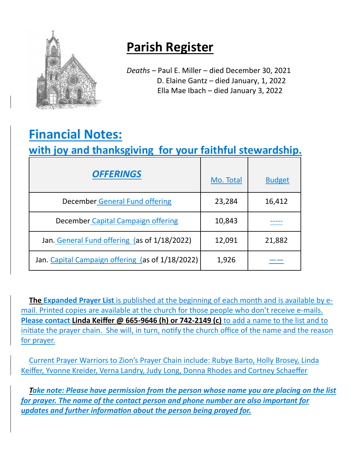

### **Parish Register**

*Deaths –* Paul E. Miller – died December 30, 2021 D. Elaine Gantz – died January, 1, 2022 Ella Mae Ibach – died January 3, 2022

## **Financial Notes:**

#### **with joy and thanksgiving for your faithful stewardship.**

| <b>OFFERINGS</b>                                 | Mo. Total | <b>Budget</b> |
|--------------------------------------------------|-----------|---------------|
| <b>December General Fund offering</b>            | 23,284    | 16,412        |
| December Capital Campaign offering               | 10,843    |               |
| Jan. General Fund offering (as of 1/18/2022)     | 12,091    | 21,882        |
| Jan. Capital Campaign offering (as of 1/18/2022) | 1,926     |               |

**The Expanded Prayer List** is published at the beginning of each month and is available by email. Printed copies are available at the church for those people who don't receive e-mails. **Please contact Linda Keiffer @ 665-9646 (h) or 742-2149 (c)** to add a name to the list and to initiate the prayer chain. She will, in turn, notify the church office of the name and the reason for prayer.

Current Prayer Warriors to Zion's Prayer Chain include: Rubye Barto, Holly Brosey, Linda Keiffer, Yvonne Kreider, Verna Landry, Judy Long, Donna Rhodes and Cortney Schaeffer

*Take note: Please have permission from the person whose name you are placing on the list for prayer. The name of the contact person and phone number are also important for updates and further information about the person being prayed for.*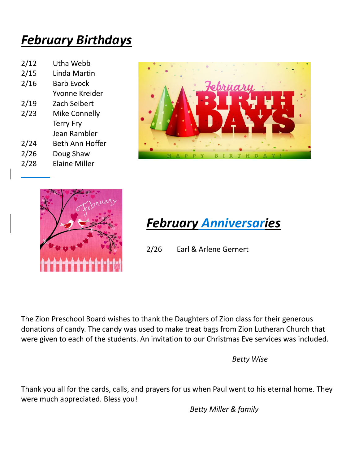### *February Birthdays*

| 2/12 | Utha Webb              |
|------|------------------------|
| 2/15 | Linda Martin           |
| 2/16 | <b>Barb Evock</b>      |
|      | Yvonne Kreider         |
| 2/19 | Zach Seibert           |
| 2/23 | <b>Mike Connelly</b>   |
|      | <b>Terry Fry</b>       |
|      | Jean Rambler           |
| 2/24 | <b>Beth Ann Hoffer</b> |
| 2/26 | Doug Shaw              |
| 2/28 | <b>Elaine Miller</b>   |
|      |                        |





## *February Anniversaries*

2/26 Earl & Arlene Gernert

The Zion Preschool Board wishes to thank the Daughters of Zion class for their generous donations of candy. The candy was used to make treat bags from Zion Lutheran Church that were given to each of the students. An invitation to our Christmas Eve services was included.

*Betty Wise*

Thank you all for the cards, calls, and prayers for us when Paul went to his eternal home. They were much appreciated. Bless you!

*Betty Miller & family*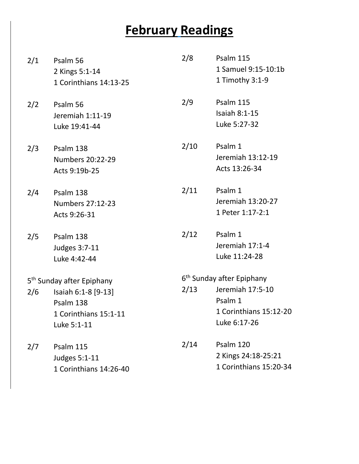#### **February Readings**

- 2/1 Psalm 56 2 Kings 5:1-14 1 Corinthians 14:13-25
- 2/2 Psalm 56 Jeremiah 1:11-19 Luke 19:41-44
- 2/3 Psalm 138 Numbers 20:22-29 Acts 9:19b-25
- 2/4 Psalm 138 Numbers 27:12-23 Acts 9:26-31
- 2/5 Psalm 138 Judges 3:7-11 Luke 4:42-44
- 5<sup>th</sup> Sunday after Epiphany
- 2/6 Isaiah 6:1-8 [9-13] Psalm 138 1 Corinthians 15:1-11 Luke 5:1-11
- 2/7 Psalm 115 Judges 5:1-11 1 Corinthians 14:26-40

| 1 Samuel 9:15-10:1b<br>1 Timothy 3:1-9<br>2/9<br>Psalm 115<br><b>Isaiah 8:1-15</b><br>Luke 5:27-32<br>2/10<br>Psalm 1<br>Jeremiah 13:12-19<br>Acts 13:26-34<br>2/11<br>Psalm 1<br>Jeremiah 13:20-27<br>1 Peter 1:17-2:1<br>2/12<br>Psalm 1<br>Jeremiah 17:1-4<br>Luke 11:24-28<br>6 <sup>th</sup> Sunday after Epiphany<br>2/13<br>Jeremiah 17:5-10<br>Psalm 1<br>1 Corinthians 15:12-20<br>Luke 6:17-26 | 2/8 | Psalm 115 |  |  |
|----------------------------------------------------------------------------------------------------------------------------------------------------------------------------------------------------------------------------------------------------------------------------------------------------------------------------------------------------------------------------------------------------------|-----|-----------|--|--|
|                                                                                                                                                                                                                                                                                                                                                                                                          |     |           |  |  |
|                                                                                                                                                                                                                                                                                                                                                                                                          |     |           |  |  |
|                                                                                                                                                                                                                                                                                                                                                                                                          |     |           |  |  |
|                                                                                                                                                                                                                                                                                                                                                                                                          |     |           |  |  |
|                                                                                                                                                                                                                                                                                                                                                                                                          |     |           |  |  |
|                                                                                                                                                                                                                                                                                                                                                                                                          |     |           |  |  |
|                                                                                                                                                                                                                                                                                                                                                                                                          |     |           |  |  |
|                                                                                                                                                                                                                                                                                                                                                                                                          |     |           |  |  |
|                                                                                                                                                                                                                                                                                                                                                                                                          |     |           |  |  |
|                                                                                                                                                                                                                                                                                                                                                                                                          |     |           |  |  |
|                                                                                                                                                                                                                                                                                                                                                                                                          |     |           |  |  |
|                                                                                                                                                                                                                                                                                                                                                                                                          |     |           |  |  |
|                                                                                                                                                                                                                                                                                                                                                                                                          |     |           |  |  |
|                                                                                                                                                                                                                                                                                                                                                                                                          |     |           |  |  |
|                                                                                                                                                                                                                                                                                                                                                                                                          |     |           |  |  |
|                                                                                                                                                                                                                                                                                                                                                                                                          |     |           |  |  |
|                                                                                                                                                                                                                                                                                                                                                                                                          |     |           |  |  |
|                                                                                                                                                                                                                                                                                                                                                                                                          |     |           |  |  |
|                                                                                                                                                                                                                                                                                                                                                                                                          |     |           |  |  |
| 2/14<br>Psalm 120                                                                                                                                                                                                                                                                                                                                                                                        |     |           |  |  |
| 2 Kings 24:18-25:21                                                                                                                                                                                                                                                                                                                                                                                      |     |           |  |  |
| 1 Corinthians 15:20-34                                                                                                                                                                                                                                                                                                                                                                                   |     |           |  |  |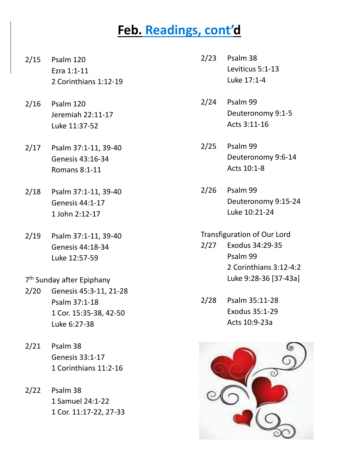#### **Feb. Readings, cont'd**

- 2/15 Psalm 120 Ezra 1:1-11 2 Corinthians 1:12-19
- 2/16 Psalm 120 Jeremiah 22:11-17 Luke 11:37-52
- 2/17 Psalm 37:1-11, 39-40 Genesis 43:16-34 Romans 8:1-11
- 2/18 Psalm 37:1-11, 39-40 Genesis 44:1-17 1 John 2:12-17
- 2/19 Psalm 37:1-11, 39-40 Genesis 44:18-34 Luke 12:57-59
- 7<sup>th</sup> Sunday after Epiphany
- 2/20 Genesis 45:3-11, 21-28 Psalm 37:1-18 1 Cor. 15:35-38, 42-50 Luke 6:27-38
- 2/21 Psalm 38 Genesis 33:1-17 1 Corinthians 11:2-16
- 2/22 Psalm 38 1 Samuel 24:1-22 1 Cor. 11:17-22, 27-33
- 2/23 Psalm 38 Leviticus 5:1-13 Luke 17:1-4
- 2/24 Psalm 99 Deuteronomy 9:1-5 Acts 3:11-16
- 2/25 Psalm 99 Deuteronomy 9:6-14 Acts 10:1-8
- 2/26 Psalm 99 Deuteronomy 9:15-24 Luke 10:21-24

#### Transfiguration of Our Lord

- 2/27 Exodus 34:29-35 Psalm 99 2 Corinthians 3:12-4:2 Luke 9:28-36 [37-43a]
- 2/28 Psalm 35:11-28 Exodus 35:1-29 Acts 10:9-23a

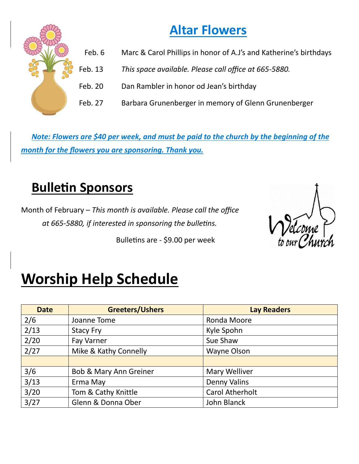#### **Altar Flowers**

- Feb. 6 Marc & Carol Phillips in honor of A.J's and Katherine's birthdays
- Feb. 13 *This space available. Please call office at 665-5880.*
- Feb. 20 Dan Rambler in honor od Jean's birthday
- Feb. 27 Barbara Grunenberger in memory of Glenn Grunenberger

*Note: Flowers are \$40 per week, and must be paid to the church by the beginning of the month for the flowers you are sponsoring. Thank you.*

#### **Bulletin Sponsors**

Month of February – *This month is available. Please call the office at 665-5880, if interested in sponsoring the bulletins.*

Bulletins are - \$9.00 per week



# **Worship Help Schedule**

| <b>Date</b> | <b>Greeters/Ushers</b>            | <b>Lay Readers</b>     |
|-------------|-----------------------------------|------------------------|
| 2/6         | Joanne Tome                       | Ronda Moore            |
| 2/13        | <b>Stacy Fry</b>                  | Kyle Spohn             |
| 2/20        | Fay Varner                        | Sue Shaw               |
| 2/27        | Mike & Kathy Connelly             | Wayne Olson            |
|             |                                   |                        |
| 3/6         | <b>Bob &amp; Mary Ann Greiner</b> | <b>Mary Welliver</b>   |
| 3/13        | Erma May                          | <b>Denny Valins</b>    |
| 3/20        | Tom & Cathy Knittle               | <b>Carol Atherholt</b> |
| 3/27        | Glenn & Donna Ober                | John Blanck            |